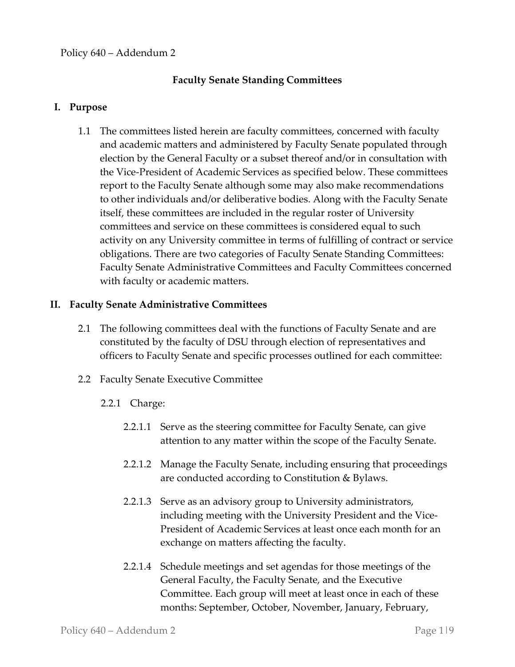# **Faculty Senate Standing Committees**

### **I. Purpose**

1.1 The committees listed herein are faculty committees, concerned with faculty and academic matters and administered by Faculty Senate populated through election by the General Faculty or a subset thereof and/or in consultation with the Vice-President of Academic Services as specified below. These committees report to the Faculty Senate although some may also make recommendations to other individuals and/or deliberative bodies. Along with the Faculty Senate itself, these committees are included in the regular roster of University committees and service on these committees is considered equal to such activity on any University committee in terms of fulfilling of contract or service obligations. There are two categories of Faculty Senate Standing Committees: Faculty Senate Administrative Committees and Faculty Committees concerned with faculty or academic matters.

### **II. Faculty Senate Administrative Committees**

- 2.1 The following committees deal with the functions of Faculty Senate and are constituted by the faculty of DSU through election of representatives and officers to Faculty Senate and specific processes outlined for each committee:
- 2.2 Faculty Senate Executive Committee
	- 2.2.1 Charge:
		- 2.2.1.1 Serve as the steering committee for Faculty Senate, can give attention to any matter within the scope of the Faculty Senate.
		- 2.2.1.2 Manage the Faculty Senate, including ensuring that proceedings are conducted according to Constitution & Bylaws.
		- 2.2.1.3 Serve as an advisory group to University administrators, including meeting with the University President and the Vice-President of Academic Services at least once each month for an exchange on matters affecting the faculty.
		- 2.2.1.4 Schedule meetings and set agendas for those meetings of the General Faculty, the Faculty Senate, and the Executive Committee. Each group will meet at least once in each of these months: September, October, November, January, February,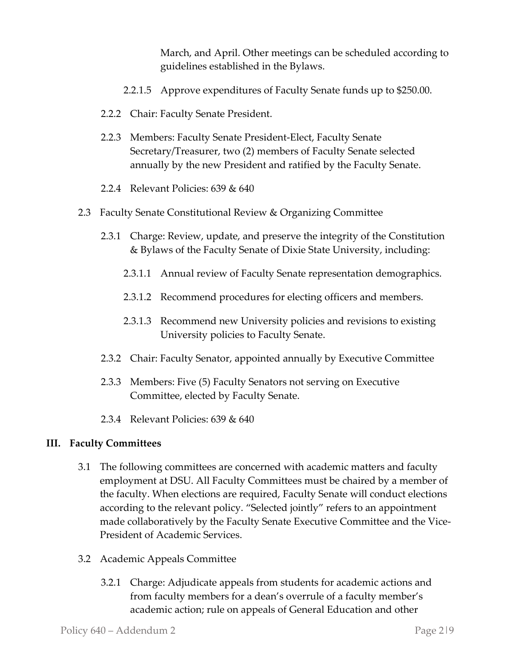March, and April. Other meetings can be scheduled according to guidelines established in the Bylaws.

- 2.2.1.5 Approve expenditures of Faculty Senate funds up to \$250.00.
- 2.2.2 Chair: Faculty Senate President.
- 2.2.3 Members: Faculty Senate President-Elect, Faculty Senate Secretary/Treasurer, two (2) members of Faculty Senate selected annually by the new President and ratified by the Faculty Senate.
- 2.2.4 Relevant Policies: 639 & 640
- 2.3 Faculty Senate Constitutional Review & Organizing Committee
	- 2.3.1 Charge: Review, update, and preserve the integrity of the Constitution & Bylaws of the Faculty Senate of Dixie State University, including:
		- 2.3.1.1 Annual review of Faculty Senate representation demographics.
		- 2.3.1.2 Recommend procedures for electing officers and members.
		- 2.3.1.3 Recommend new University policies and revisions to existing University policies to Faculty Senate.
	- 2.3.2 Chair: Faculty Senator, appointed annually by Executive Committee
	- 2.3.3 Members: Five (5) Faculty Senators not serving on Executive Committee, elected by Faculty Senate.
	- 2.3.4 Relevant Policies: 639 & 640

#### **III. Faculty Committees**

- 3.1 The following committees are concerned with academic matters and faculty employment at DSU. All Faculty Committees must be chaired by a member of the faculty. When elections are required, Faculty Senate will conduct elections according to the relevant policy. "Selected jointly" refers to an appointment made collaboratively by the Faculty Senate Executive Committee and the Vice-President of Academic Services.
- 3.2 Academic Appeals Committee
	- 3.2.1 Charge: Adjudicate appeals from students for academic actions and from faculty members for a dean's overrule of a faculty member's academic action; rule on appeals of General Education and other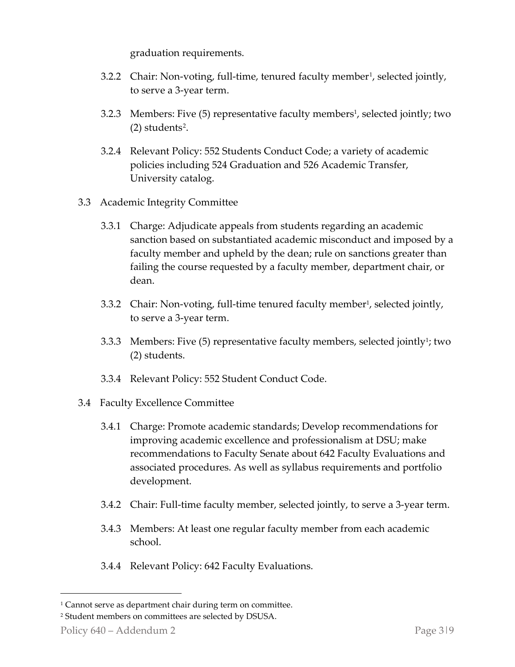graduation requirements.

- 3.2.2 Chair: Non-voting, full-time, tenured faculty member<sup>1</sup>, selected jointly, to serve a 3-year term.
- 3.2.3 Members: Five (5) representative faculty members<sup>1</sup>, selected jointly; two  $(2)$  $(2)$  $(2)$  students<sup>2</sup>.
- 3.2.4 Relevant Policy: 552 Students Conduct Code; a variety of academic policies including 524 Graduation and 526 Academic Transfer, University catalog.
- 3.3 Academic Integrity Committee
	- 3.3.1 Charge: Adjudicate appeals from students regarding an academic sanction based on substantiated academic misconduct and imposed by a faculty member and upheld by the dean; rule on sanctions greater than failing the course requested by a faculty member, department chair, or dean.
	- 3.3.2 Chair: Non-voting, full-time tenured faculty member<sup>1</sup>, selected jointly, to serve a 3-year term.
	- 3.3.3 Members: Five  $(5)$  representative faculty members, selected jointly<sup>1</sup>; two (2) students.
	- 3.3.4 Relevant Policy: 552 Student Conduct Code.
- 3.4 Faculty Excellence Committee
	- 3.4.1 Charge: Promote academic standards; Develop recommendations for improving academic excellence and professionalism at DSU; make recommendations to Faculty Senate about 642 Faculty Evaluations and associated procedures. As well as syllabus requirements and portfolio development.
	- 3.4.2 Chair: Full-time faculty member, selected jointly, to serve a 3-year term.
	- 3.4.3 Members: At least one regular faculty member from each academic school.
	- 3.4.4 Relevant Policy: 642 Faculty Evaluations.

<span id="page-2-0"></span><sup>&</sup>lt;sup>1</sup> Cannot serve as department chair during term on committee.

<span id="page-2-1"></span><sup>2</sup> Student members on committees are selected by DSUSA.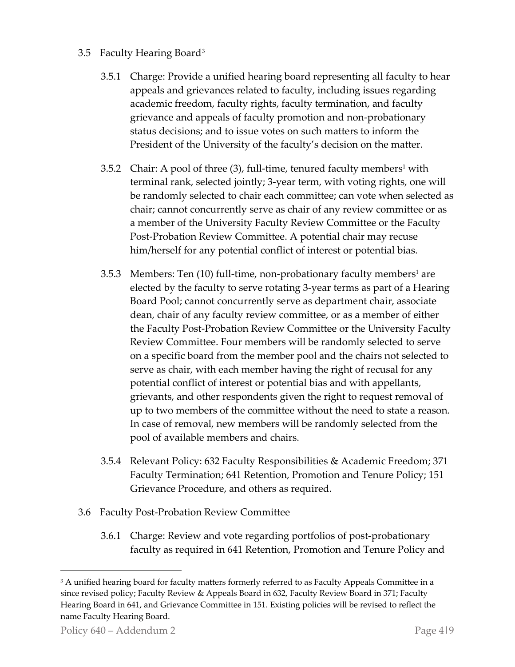# 3.5 Faculty Hearing Board[3](#page-3-0)

- 3.5.1 Charge: Provide a unified hearing board representing all faculty to hear appeals and grievances related to faculty, including issues regarding academic freedom, faculty rights, faculty termination, and faculty grievance and appeals of faculty promotion and non-probationary status decisions; and to issue votes on such matters to inform the President of the University of the faculty's decision on the matter.
- 3.5.2 Chair: A pool of three  $(3)$ , full-time, tenured faculty members<sup>1</sup> with terminal rank, selected jointly; 3-year term, with voting rights, one will be randomly selected to chair each committee; can vote when selected as chair; cannot concurrently serve as chair of any review committee or as a member of the University Faculty Review Committee or the Faculty Post-Probation Review Committee. A potential chair may recuse him/herself for any potential conflict of interest or potential bias.
- 3.5.3 Members: Ten  $(10)$  full-time, non-probationary faculty members<sup>1</sup> are elected by the faculty to serve rotating 3-year terms as part of a Hearing Board Pool; cannot concurrently serve as department chair, associate dean, chair of any faculty review committee, or as a member of either the Faculty Post-Probation Review Committee or the University Faculty Review Committee. Four members will be randomly selected to serve on a specific board from the member pool and the chairs not selected to serve as chair, with each member having the right of recusal for any potential conflict of interest or potential bias and with appellants, grievants, and other respondents given the right to request removal of up to two members of the committee without the need to state a reason. In case of removal, new members will be randomly selected from the pool of available members and chairs.
- 3.5.4 Relevant Policy: 632 Faculty Responsibilities & Academic Freedom; 371 Faculty Termination; 641 Retention, Promotion and Tenure Policy; 151 Grievance Procedure, and others as required.
- 3.6 Faculty Post-Probation Review Committee
	- 3.6.1 Charge: Review and vote regarding portfolios of post-probationary faculty as required in 641 Retention, Promotion and Tenure Policy and

<span id="page-3-0"></span><sup>&</sup>lt;sup>3</sup> A unified hearing board for faculty matters formerly referred to as Faculty Appeals Committee in a since revised policy; Faculty Review & Appeals Board in 632, Faculty Review Board in 371; Faculty Hearing Board in 641, and Grievance Committee in 151. Existing policies will be revised to reflect the name Faculty Hearing Board.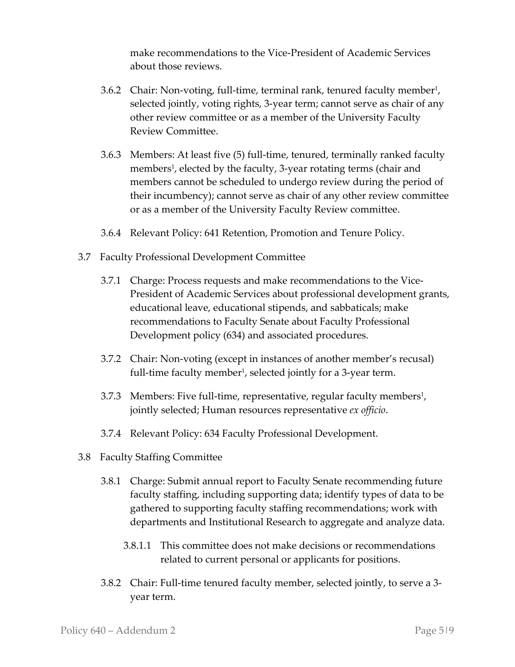make recommendations to the Vice-President of Academic Services about those reviews.

- 3.6.2 Chair: Non-voting, full-time, terminal rank, tenured faculty member<sup>1</sup>, selected jointly, voting rights, 3-year term; cannot serve as chair of any other review committee or as a member of the University Faculty Review Committee.
- 3.6.3 Members: At least five (5) full-time, tenured, terminally ranked faculty members<sup>1</sup>, elected by the faculty, 3-year rotating terms (chair and members cannot be scheduled to undergo review during the period of their incumbency); cannot serve as chair of any other review committee or as a member of the University Faculty Review committee.
- 3.6.4 Relevant Policy: 641 Retention, Promotion and Tenure Policy.
- 3.7 Faculty Professional Development Committee
	- 3.7.1 Charge: Process requests and make recommendations to the Vice-President of Academic Services about professional development grants, educational leave, educational stipends, and sabbaticals; make recommendations to Faculty Senate about Faculty Professional Development policy (634) and associated procedures.
	- 3.7.2 Chair: Non-voting (except in instances of another member's recusal) full-time faculty member<sup>1</sup>, selected jointly for a 3-year term.
	- 3.7.3 Members: Five full-time, representative, regular faculty members<sup>1</sup>, jointly selected; Human resources representative *ex officio*.
	- 3.7.4 Relevant Policy: 634 Faculty Professional Development.
- 3.8 Faculty Staffing Committee
	- 3.8.1 Charge: Submit annual report to Faculty Senate recommending future faculty staffing, including supporting data; identify types of data to be gathered to supporting faculty staffing recommendations; work with departments and Institutional Research to aggregate and analyze data.
		- 3.8.1.1 This committee does not make decisions or recommendations related to current personal or applicants for positions.
	- 3.8.2 Chair: Full-time tenured faculty member, selected jointly, to serve a 3 year term.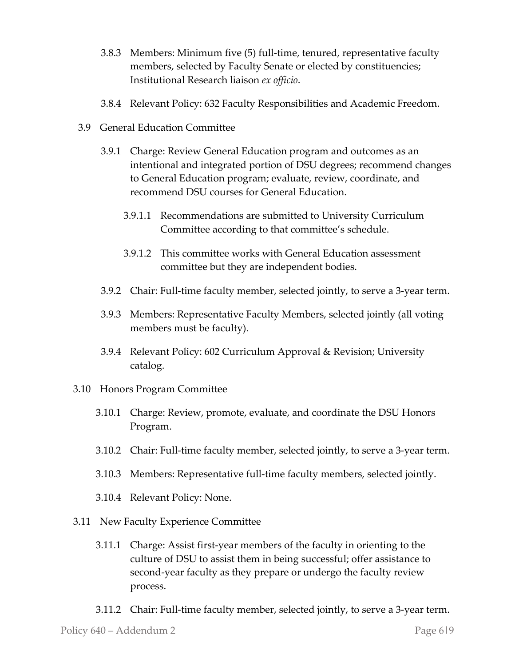- 3.8.3 Members: Minimum five (5) full-time, tenured, representative faculty members, selected by Faculty Senate or elected by constituencies; Institutional Research liaison *ex officio*.
- 3.8.4 Relevant Policy: 632 Faculty Responsibilities and Academic Freedom.
- 3.9 General Education Committee
	- 3.9.1 Charge: Review General Education program and outcomes as an intentional and integrated portion of DSU degrees; recommend changes to General Education program; evaluate, review, coordinate, and recommend DSU courses for General Education.
		- 3.9.1.1 Recommendations are submitted to University Curriculum Committee according to that committee's schedule.
		- 3.9.1.2 This committee works with General Education assessment committee but they are independent bodies.
	- 3.9.2 Chair: Full-time faculty member, selected jointly, to serve a 3-year term.
	- 3.9.3 Members: Representative Faculty Members, selected jointly (all voting members must be faculty).
	- 3.9.4 Relevant Policy: 602 Curriculum Approval & Revision; University catalog.
- 3.10 Honors Program Committee
	- 3.10.1 Charge: Review, promote, evaluate, and coordinate the DSU Honors Program.
	- 3.10.2 Chair: Full-time faculty member, selected jointly, to serve a 3-year term.
	- 3.10.3 Members: Representative full-time faculty members, selected jointly.
	- 3.10.4 Relevant Policy: None.
- 3.11 New Faculty Experience Committee
	- 3.11.1 Charge: Assist first-year members of the faculty in orienting to the culture of DSU to assist them in being successful; offer assistance to second-year faculty as they prepare or undergo the faculty review process.
	- 3.11.2 Chair: Full-time faculty member, selected jointly, to serve a 3-year term.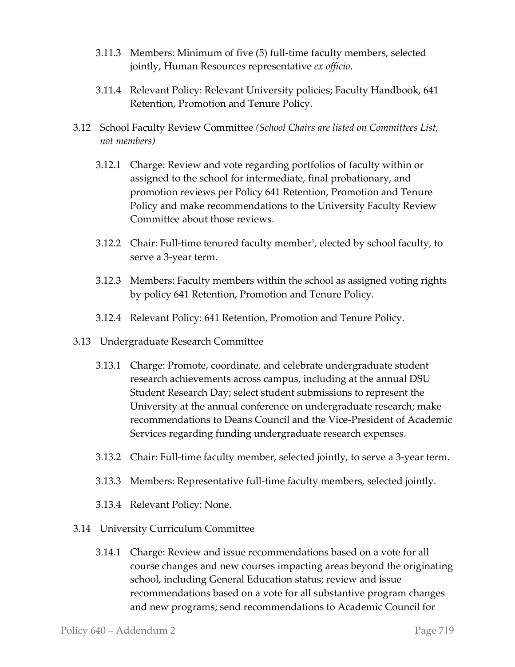- 3.11.3 Members: Minimum of five (5) full-time faculty members, selected jointly, Human Resources representative *ex officio*.
- 3.11.4 Relevant Policy: Relevant University policies; Faculty Handbook, 641 Retention, Promotion and Tenure Policy.
- 3.12 School Faculty Review Committee *(School Chairs are listed on Committees List, not members)*
	- 3.12.1 Charge: Review and vote regarding portfolios of faculty within or assigned to the school for intermediate, final probationary, and promotion reviews per Policy 641 Retention, Promotion and Tenure Policy and make recommendations to the University Faculty Review Committee about those reviews.
	- 3.12.2 Chair: Full-time tenured faculty member<sup>1</sup>, elected by school faculty, to serve a 3-year term.
	- 3.12.3 Members: Faculty members within the school as assigned voting rights by policy 641 Retention, Promotion and Tenure Policy.
	- 3.12.4 Relevant Policy: 641 Retention, Promotion and Tenure Policy.
- 3.13 Undergraduate Research Committee
	- 3.13.1 Charge: Promote, coordinate, and celebrate undergraduate student research achievements across campus, including at the annual DSU Student Research Day; select student submissions to represent the University at the annual conference on undergraduate research; make recommendations to Deans Council and the Vice-President of Academic Services regarding funding undergraduate research expenses.
	- 3.13.2 Chair: Full-time faculty member, selected jointly, to serve a 3-year term.
	- 3.13.3 Members: Representative full-time faculty members, selected jointly.
	- 3.13.4 Relevant Policy: None.
- 3.14 University Curriculum Committee
	- 3.14.1 Charge: Review and issue recommendations based on a vote for all course changes and new courses impacting areas beyond the originating school, including General Education status; review and issue recommendations based on a vote for all substantive program changes and new programs; send recommendations to Academic Council for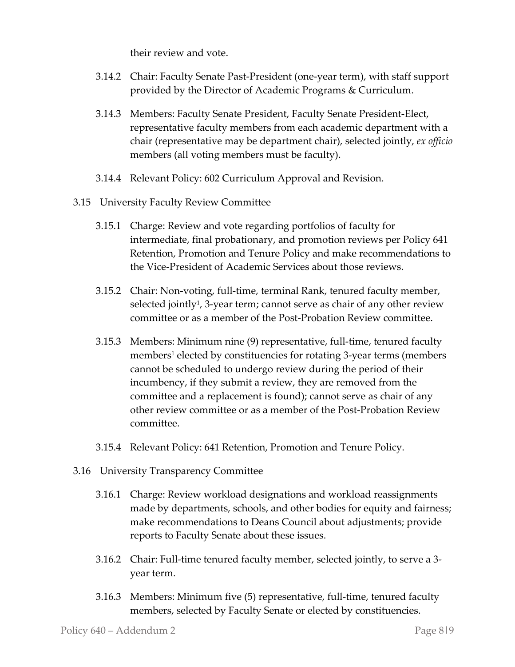their review and vote.

- 3.14.2 Chair: Faculty Senate Past-President (one-year term), with staff support provided by the Director of Academic Programs & Curriculum.
- 3.14.3 Members: Faculty Senate President, Faculty Senate President-Elect, representative faculty members from each academic department with a chair (representative may be department chair), selected jointly, *ex officio* members (all voting members must be faculty).
- 3.14.4 Relevant Policy: 602 Curriculum Approval and Revision.
- 3.15 University Faculty Review Committee
	- 3.15.1 Charge: Review and vote regarding portfolios of faculty for intermediate, final probationary, and promotion reviews per Policy 641 Retention, Promotion and Tenure Policy and make recommendations to the Vice-President of Academic Services about those reviews.
	- 3.15.2 Chair: Non-voting, full-time, terminal Rank, tenured faculty member, selected jointly<sup>1</sup>, 3-year term; cannot serve as chair of any other review committee or as a member of the Post-Probation Review committee.
	- 3.15.3 Members: Minimum nine (9) representative, full-time, tenured faculty members<sup>1</sup> elected by constituencies for rotating 3-year terms (members cannot be scheduled to undergo review during the period of their incumbency, if they submit a review, they are removed from the committee and a replacement is found); cannot serve as chair of any other review committee or as a member of the Post-Probation Review committee.
	- 3.15.4 Relevant Policy: 641 Retention, Promotion and Tenure Policy.
- 3.16 University Transparency Committee
	- 3.16.1 Charge: Review workload designations and workload reassignments made by departments, schools, and other bodies for equity and fairness; make recommendations to Deans Council about adjustments; provide reports to Faculty Senate about these issues.
	- 3.16.2 Chair: Full-time tenured faculty member, selected jointly, to serve a 3 year term.
	- 3.16.3 Members: Minimum five (5) representative, full-time, tenured faculty members, selected by Faculty Senate or elected by constituencies.